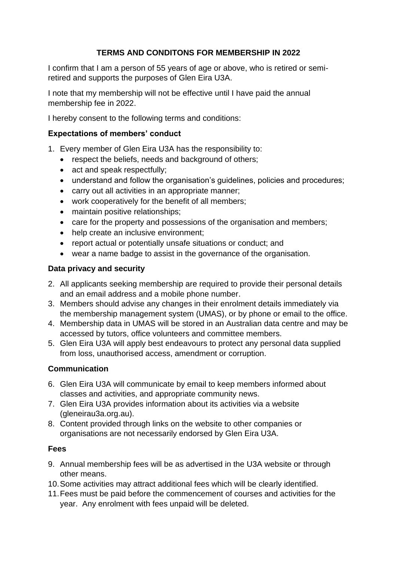## **TERMS AND CONDITONS FOR MEMBERSHIP IN 2022**

I confirm that I am a person of 55 years of age or above, who is retired or semiretired and supports the purposes of Glen Eira U3A.

I note that my membership will not be effective until I have paid the annual membership fee in 2022.

I hereby consent to the following terms and conditions:

### **Expectations of members' conduct**

- 1. Every member of Glen Eira U3A has the responsibility to:
	- respect the beliefs, needs and background of others:
	- act and speak respectfully;
	- understand and follow the organisation's guidelines, policies and procedures;
	- carry out all activities in an appropriate manner;
	- work cooperatively for the benefit of all members;
	- maintain positive relationships;
	- care for the property and possessions of the organisation and members;
	- help create an inclusive environment;
	- report actual or potentially unsafe situations or conduct; and
	- wear a name badge to assist in the governance of the organisation.

### **Data privacy and security**

- 2. All applicants seeking membership are required to provide their personal details and an email address and a mobile phone number.
- 3. Members should advise any changes in their enrolment details immediately via the membership management system (UMAS), or by phone or email to the office.
- 4. Membership data in UMAS will be stored in an Australian data centre and may be accessed by tutors, office volunteers and committee members.
- 5. Glen Eira U3A will apply best endeavours to protect any personal data supplied from loss, unauthorised access, amendment or corruption.

# **Communication**

- 6. Glen Eira U3A will communicate by email to keep members informed about classes and activities, and appropriate community news.
- 7. Glen Eira U3A provides information about its activities via a website (gleneirau3a.org.au).
- 8. Content provided through links on the website to other companies or organisations are not necessarily endorsed by Glen Eira U3A.

### **Fees**

- 9. Annual membership fees will be as advertised in the U3A website or through other means.
- 10.Some activities may attract additional fees which will be clearly identified.
- 11.Fees must be paid before the commencement of courses and activities for the year. Any enrolment with fees unpaid will be deleted.